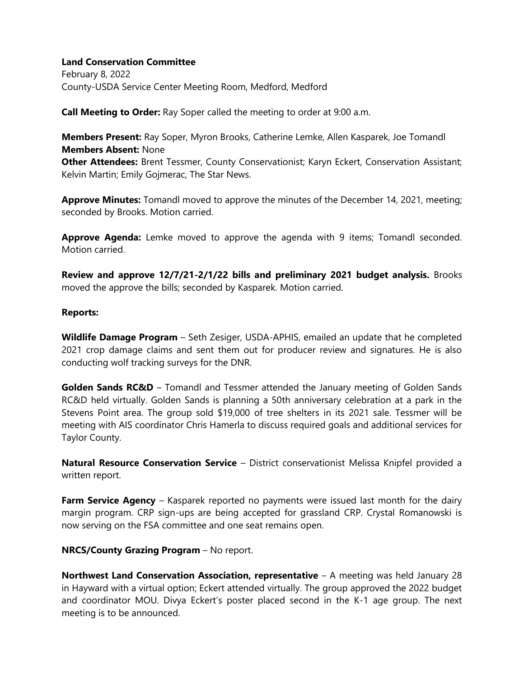## **Land Conservation Committee**

February 8, 2022 County-USDA Service Center Meeting Room, Medford, Medford

**Call Meeting to Order:** Ray Soper called the meeting to order at 9:00 a.m.

**Members Present:** Ray Soper, Myron Brooks, Catherine Lemke, Allen Kasparek, Joe Tomandl **Members Absent:** None

**Other Attendees:** Brent Tessmer, County Conservationist; Karyn Eckert, Conservation Assistant; Kelvin Martin; Emily Gojmerac, The Star News.

**Approve Minutes:** Tomandl moved to approve the minutes of the December 14, 2021, meeting; seconded by Brooks. Motion carried.

**Approve Agenda:** Lemke moved to approve the agenda with 9 items; Tomandl seconded. Motion carried.

**Review and approve 12/7/21-2/1/22 bills and preliminary 2021 budget analysis.** Brooks moved the approve the bills; seconded by Kasparek. Motion carried.

## **Reports:**

**Wildlife Damage Program** – Seth Zesiger, USDA-APHIS, emailed an update that he completed 2021 crop damage claims and sent them out for producer review and signatures. He is also conducting wolf tracking surveys for the DNR.

**Golden Sands RC&D** – Tomandl and Tessmer attended the January meeting of Golden Sands RC&D held virtually. Golden Sands is planning a 50th anniversary celebration at a park in the Stevens Point area. The group sold \$19,000 of tree shelters in its 2021 sale. Tessmer will be meeting with AIS coordinator Chris Hamerla to discuss required goals and additional services for Taylor County.

**Natural Resource Conservation Service** – District conservationist Melissa Knipfel provided a written report.

**Farm Service Agency** – Kasparek reported no payments were issued last month for the dairy margin program. CRP sign-ups are being accepted for grassland CRP. Crystal Romanowski is now serving on the FSA committee and one seat remains open.

# **NRCS/County Grazing Program** – No report.

**Northwest Land Conservation Association, representative** – A meeting was held January 28 in Hayward with a virtual option; Eckert attended virtually. The group approved the 2022 budget and coordinator MOU. Divya Eckert's poster placed second in the K-1 age group. The next meeting is to be announced.